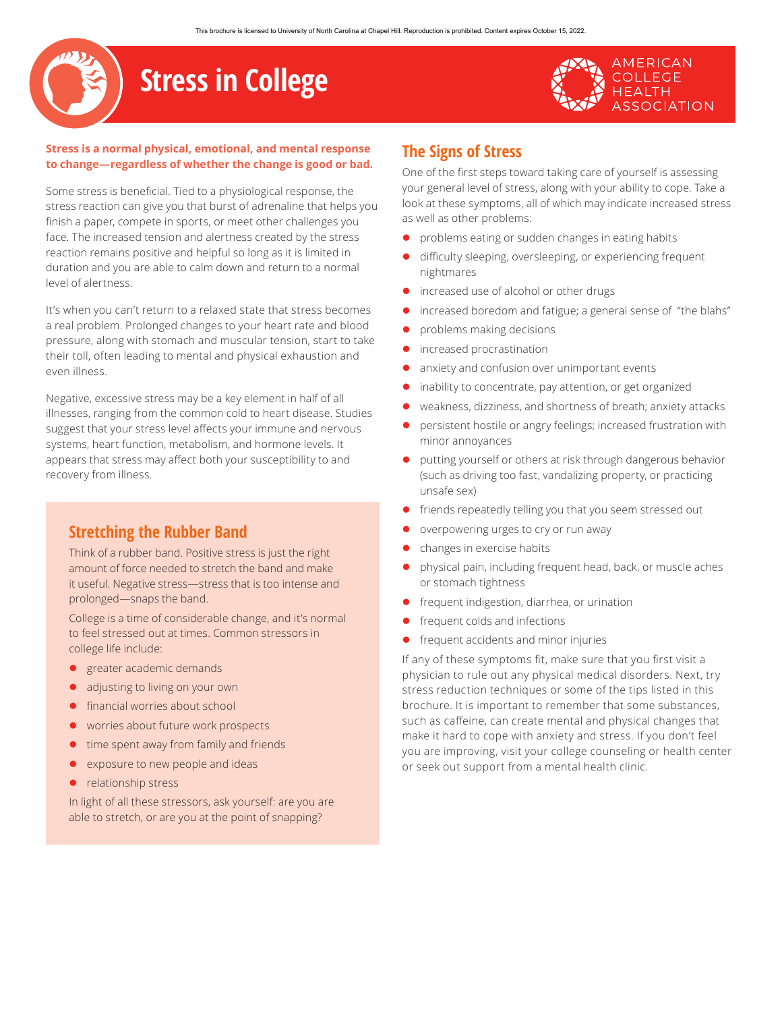# **Stress in College**

#### **Stress is a normal physical, emotional, and mental response to change—regardless of whether the change is good or bad.**

Some stress is beneficial. Tied to a physiological response, the stress reaction can give you that burst of adrenaline that helps you finish a paper, compete in sports, or meet other challenges you face. The increased tension and alertness created by the stress reaction remains positive and helpful so long as it is limited in duration and you are able to calm down and return to a normal level of alertness.

It's when you can't return to a relaxed state that stress becomes a real problem. Prolonged changes to your heart rate and blood pressure, along with stomach and muscular tension, start to take their toll, often leading to mental and physical exhaustion and even illness.

Negative, excessive stress may be a key element in half of all illnesses, ranging from the common cold to heart disease. Studies suggest that your stress level affects your immune and nervous systems, heart function, metabolism, and hormone levels. It appears that stress may affect both your susceptibility to and recovery from illness.

## **Stretching the Rubber Band**

Think of a rubber band. Positive stress is just the right amount of force needed to stretch the band and make it useful. Negative stress—stress that is too intense and prolonged—snaps the band.

College is a time of considerable change, and it's normal to feel stressed out at times. Common stressors in college life include:

- **•** greater academic demands
- adjusting to living on your own
- financial worries about school
- worries about future work prospects
- time spent away from family and friends
- exposure to new people and ideas
- $\bullet$  relationship stress

In light of all these stressors, ask yourself: are you are able to stretch, or are you at the point of snapping?

# **The Signs of Stress**

One of the first steps toward taking care of yourself is assessing your general level of stress, along with your ability to cope. Take a look at these symptoms, all of which may indicate increased stress as well as other problems:

**AMERICAN COLLEGE HEALTH** 

**SSOCIATION** 

- problems eating or sudden changes in eating habits
- difficulty sleeping, oversleeping, or experiencing frequent nightmares
- increased use of alcohol or other drugs
- increased boredom and fatigue; a general sense of "the blahs"
- problems making decisions
- increased procrastination
- anxiety and confusion over unimportant events
- inability to concentrate, pay attention, or get organized
- weakness, dizziness, and shortness of breath; anxiety attacks
- persistent hostile or angry feelings; increased frustration with minor annoyances
- putting yourself or others at risk through dangerous behavior (such as driving too fast, vandalizing property, or practicing unsafe sex)
- friends repeatedly telling you that you seem stressed out
- overpowering urges to cry or run away
- changes in exercise habits
- physical pain, including frequent head, back, or muscle aches or stomach tightness
- frequent indigestion, diarrhea, or urination
- frequent colds and infections
- frequent accidents and minor injuries

If any of these symptoms fit, make sure that you first visit a physician to rule out any physical medical disorders. Next, try stress reduction techniques or some of the tips listed in this brochure. It is important to remember that some substances, such as caffeine, can create mental and physical changes that make it hard to cope with anxiety and stress. If you don't feel you are improving, visit your college counseling or health center or seek out support from a mental health clinic.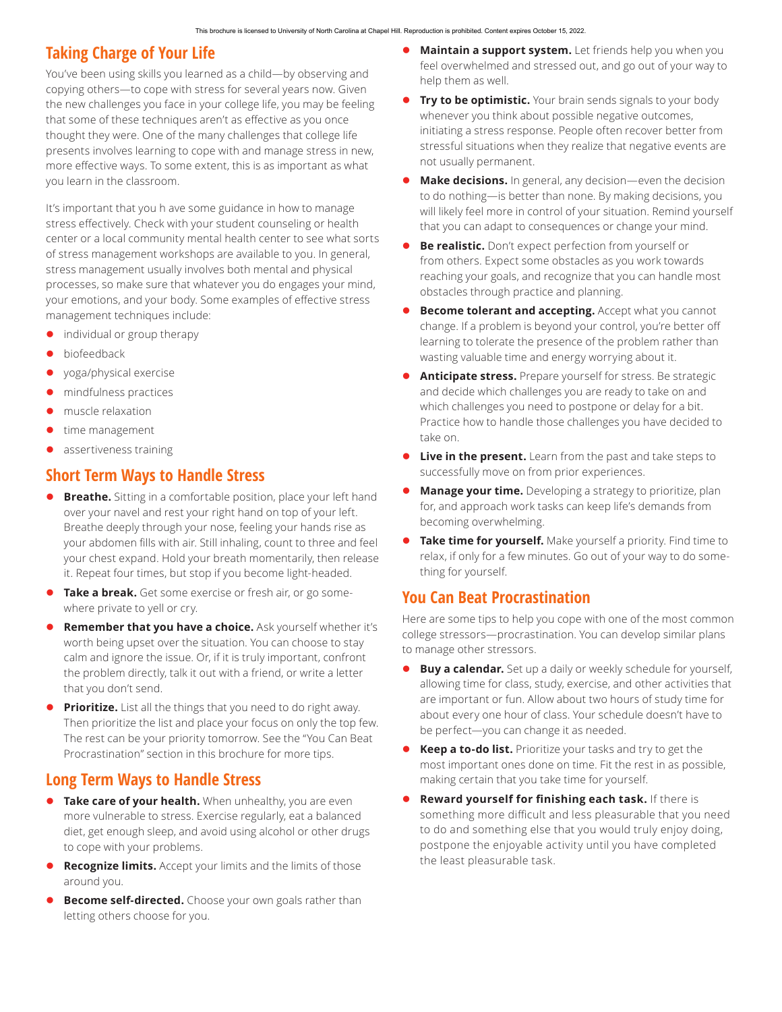#### **Taking Charge of Your Life**

You've been using skills you learned as a child—by observing and copying others—to cope with stress for several years now. Given the new challenges you face in your college life, you may be feeling that some of these techniques aren't as effective as you once thought they were. One of the many challenges that college life presents involves learning to cope with and manage stress in new, more effective ways. To some extent, this is as important as what you learn in the classroom.

It's important that you h ave some guidance in how to manage stress effectively. Check with your student counseling or health center or a local community mental health center to see what sorts of stress management workshops are available to you. In general, stress management usually involves both mental and physical processes, so make sure that whatever you do engages your mind, your emotions, and your body. Some examples of effective stress management techniques include:

- individual or group therapy
- biofeedback
- yoga/physical exercise
- mindfulness practices
- muscle relaxation
- time management
- assertiveness training

#### **Short Term Ways to Handle Stress**

- **Breathe.** Sitting in a comfortable position, place your left hand over your navel and rest your right hand on top of your left. Breathe deeply through your nose, feeling your hands rise as your abdomen fills with air. Still inhaling, count to three and feel your chest expand. Hold your breath momentarily, then release it. Repeat four times, but stop if you become light-headed.
- **Take a break.** Get some exercise or fresh air, or go somewhere private to yell or cry.
- **Remember that you have a choice.** Ask yourself whether it's worth being upset over the situation. You can choose to stay calm and ignore the issue. Or, if it is truly important, confront the problem directly, talk it out with a friend, or write a letter that you don't send.
- **Prioritize.** List all the things that you need to do right away. Then prioritize the list and place your focus on only the top few. The rest can be your priority tomorrow. See the "You Can Beat Procrastination" section in this brochure for more tips.

#### **Long Term Ways to Handle Stress**

- **Take care of your health.** When unhealthy, you are even more vulnerable to stress. Exercise regularly, eat a balanced diet, get enough sleep, and avoid using alcohol or other drugs to cope with your problems.
- **Recognize limits.** Accept your limits and the limits of those around you.
- **Become self-directed.** Choose your own goals rather than letting others choose for you.
- **Maintain a support system.** Let friends help you when you feel overwhelmed and stressed out, and go out of your way to help them as well.
- **Try to be optimistic.** Your brain sends signals to your body whenever you think about possible negative outcomes, initiating a stress response. People often recover better from stressful situations when they realize that negative events are not usually permanent.
- **Make decisions.** In general, any decision—even the decision to do nothing—is better than none. By making decisions, you will likely feel more in control of your situation. Remind yourself that you can adapt to consequences or change your mind.
- **Be realistic.** Don't expect perfection from yourself or from others. Expect some obstacles as you work towards reaching your goals, and recognize that you can handle most obstacles through practice and planning.
- **Become tolerant and accepting.** Accept what you cannot change. If a problem is beyond your control, you're better off learning to tolerate the presence of the problem rather than wasting valuable time and energy worrying about it.
- **Anticipate stress.** Prepare yourself for stress. Be strategic and decide which challenges you are ready to take on and which challenges you need to postpone or delay for a bit. Practice how to handle those challenges you have decided to take on.
- Live in the present. Learn from the past and take steps to successfully move on from prior experiences.
- **Manage your time.** Developing a strategy to prioritize, plan for, and approach work tasks can keep life's demands from becoming overwhelming.
- **Take time for yourself.** Make yourself a priority. Find time to relax, if only for a few minutes. Go out of your way to do something for yourself.

#### **You Can Beat Procrastination**

Here are some tips to help you cope with one of the most common college stressors—procrastination. You can develop similar plans to manage other stressors.

- **Buy a calendar.** Set up a daily or weekly schedule for yourself, allowing time for class, study, exercise, and other activities that are important or fun. Allow about two hours of study time for about every one hour of class. Your schedule doesn't have to be perfect—you can change it as needed.
- **Keep a to-do list.** Prioritize your tasks and try to get the most important ones done on time. Fit the rest in as possible, making certain that you take time for yourself.
- **Reward yourself for finishing each task.** If there is something more difficult and less pleasurable that you need to do and something else that you would truly enjoy doing, postpone the enjoyable activity until you have completed the least pleasurable task.